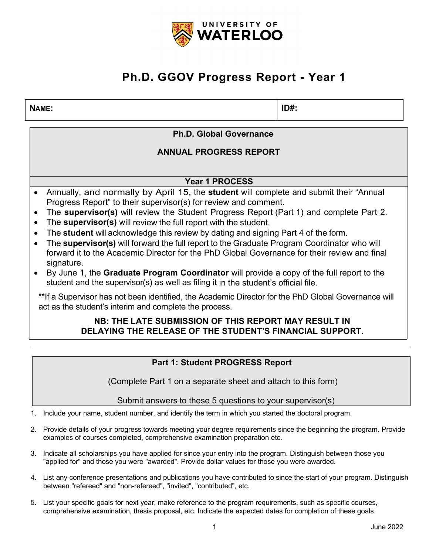

## **Ph.D. GGOV Progress Report - Year 1**

### **NAME: ID#:**

**Ph.D. Global Governance**

**ANNUAL PROGRESS REPORT**

**Year 1 PROCESS** 

- Annually, and normally by April 15, the **student** will complete and submit their "Annual Progress Report" to their supervisor(s) for review and comment.
- The **supervisor(s)** will review the Student Progress Report (Part 1) and complete Part 2.
- The **supervisor(s)** will review the full report with the student.
- The **student** will acknowledge this review by dating and signing Part 4 of the form.
- The **supervisor(s)** will forward the full report to the Graduate Program Coordinator who will forward it to the Academic Director for the PhD Global Governance for their review and final signature.
- By June 1, the **Graduate Program Coordinator** will provide a copy of the full report to the student and the supervisor(s) as well as filing it in the student's official file.

\*\*If a Supervisor has not been identified, the Academic Director for the PhD Global Governance will act as the student's interim and complete the process.

## **NB: THE LATE SUBMISSION OF THIS REPORT MAY RESULT IN DELAYING THE RELEASE OF THE STUDENT'S FINANCIAL SUPPORT.**

## **Part 1: Student PROGRESS Report**

(Complete Part 1 on a separate sheet and attach to this form)

Submit answers to these 5 questions to your supervisor(s)

1. Include your name, student number, and identify the term in which you started the doctoral program.

- 2. Provide details of your progress towards meeting your degree requirements since the beginning the program. Provide examples of courses completed, comprehensive examination preparation etc.
- 3. Indicate all scholarships you have applied for since your entry into the program. Distinguish between those you "applied for" and those you were "awarded". Provide dollar values for those you were awarded.
- 4. List any conference presentations and publications you have contributed to since the start of your program. Distinguish between "refereed" and "non-refereed", "invited", "contributed", etc.
- 5. List your specific goals for next year; make reference to the program requirements, such as specific courses, comprehensive examination, thesis proposal, etc. Indicate the expected dates for completion of these goals.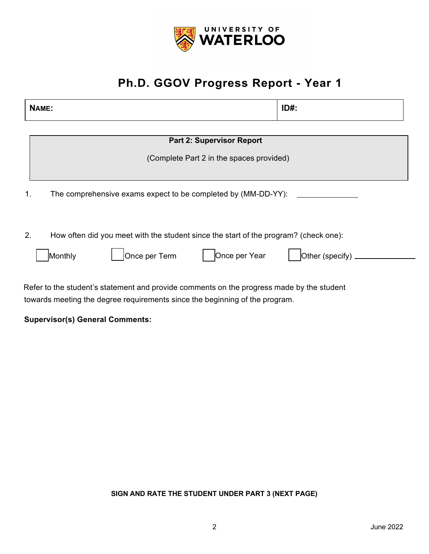

# **Ph.D. GGOV Progress Report - Year 1**

| NAME:                                                                                      | $ID#$ :         |  |  |
|--------------------------------------------------------------------------------------------|-----------------|--|--|
|                                                                                            |                 |  |  |
| <b>Part 2: Supervisor Report</b>                                                           |                 |  |  |
| (Complete Part 2 in the spaces provided)                                                   |                 |  |  |
|                                                                                            |                 |  |  |
| 1.<br>The comprehensive exams expect to be completed by (MM-DD-YY):                        |                 |  |  |
| 2.<br>How often did you meet with the student since the start of the program? (check one): |                 |  |  |
| Once per Term<br>Once per Year<br>Monthly                                                  | Other (specify) |  |  |
|                                                                                            |                 |  |  |

Refer to the student's statement and provide comments on the progress made by the student towards meeting the degree requirements since the beginning of the program.

**Supervisor(s) General Comments:**

### **SIGN AND RATE THE STUDENT UNDER PART 3 (NEXT PAGE)**